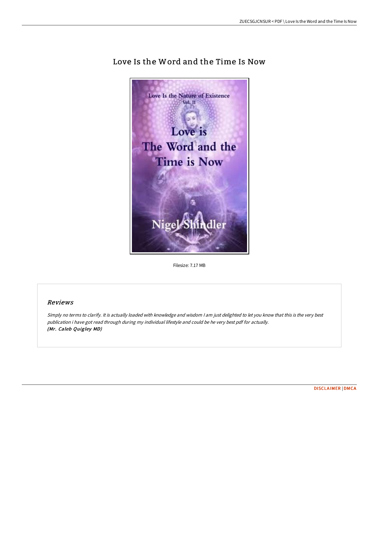

# Love Is the Word and the Time Is Now

Filesize: 7.17 MB

#### Reviews

Simply no terms to clarify. It is actually loaded with knowledge and wisdom <sup>I</sup> am just delighted to let you know that this is the very best publication i have got read through during my individual lifestyle and could be he very best pdf for actually. (Mr. Caleb Quigley MD)

[DISCLAIMER](http://digilib.live/disclaimer.html) | [DMCA](http://digilib.live/dmca.html)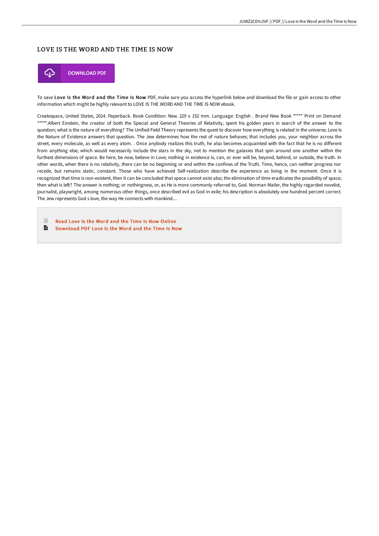#### LOVE IS THE WORD AND THE TIME IS NOW



To save Love Is the Word and the Time Is Now PDF, make sure you access the hyperlink below and download the file or gain access to other information which might be highly relevant to LOVE IS THE WORD AND THE TIME IS NOW ebook.

Createspace, United States, 2014. Paperback. Book Condition: New. 229 x 152 mm. Language: English . Brand New Book \*\*\*\*\* Print on Demand \*\*\*\*\*.Albert Einstein, the creator of both the Special and General Theories of Relativity, spent his golden years in search of the answer to the question; what is the nature of everything? The Unified Field Theory represents the quest to discover how everything is related in the universe; Love Is the Nature of Existence answers that question. The Jew determines how the rest of nature behaves; that includes you, your neighbor across the street, every molecule, as well as every atom. . Once anybody realizes this truth, he also becomes acquainted with the fact that he is no diFerent from anything else; which would necessarily include the stars in the sky, not to mention the galaxies that spin around one another within the furthest dimensions of space. Be here, be now, believe in Love; nothing in existence is, can, or ever will be, beyond, behind, or outside, the truth. In other words, when there is no relativity, there can be no beginning or end within the confines of the Truth. Time, hence, can neither progress nor recede, but remains static, constant. Those who have achieved Self-realization describe the experience as living in the moment. Once it is recognized that time is non-existent, then it can be concluded that space cannot exist also; the elimination of time eradicates the possibility of space; then what is left? The answer is nothing; or nothingness, or, as He is more commonly referred to, God. Norman Mailer, the highly regarded novelist, journalist, playwright, among numerous other things, once described evil as God in exile; his description is absolutely one hundred percent correct. The Jew represents God s love, the way He connects with mankind....

 $\mathbb{R}$ Read Love Is the Word and the Time Is Now [Online](http://digilib.live/love-is-the-word-and-the-time-is-now-paperback.html)  $\mathbf{m}$ [Download](http://digilib.live/love-is-the-word-and-the-time-is-now-paperback.html) PDF Love Is the Word and the Time Is Now